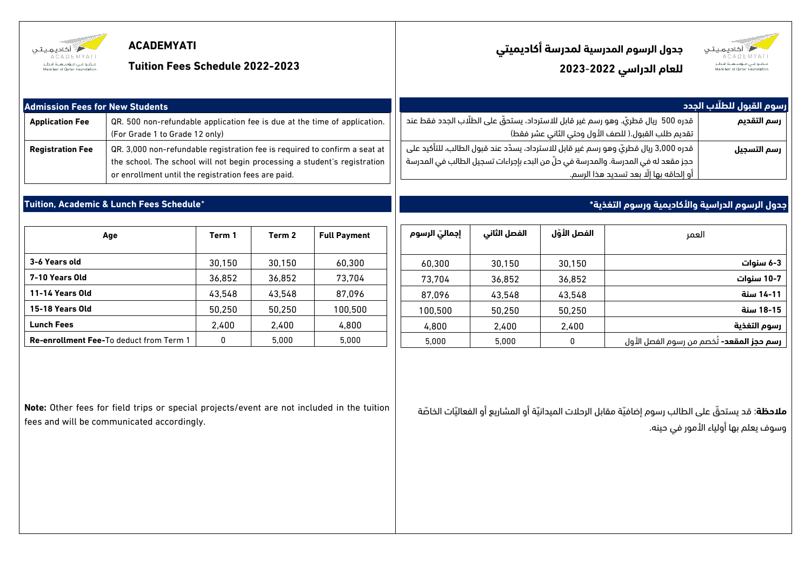| أأكاديميتي<br>عنقبو فني منؤسسية قنطير<br>Member of Datar Foundatio | <b>ACADEMYATI</b><br><b>Tuition Fees Schedule 2022-2023</b>                                                                                                                                                    |        |        |                     |                                                                                                                                                                                                                                       |              |              | جدول الرسوم المدرسية لمدرسة أكاديميتي<br>للعام الدراسي 2022-2023 | أكاديميتي<br>منشو فنى منؤسسية قنطر               |
|--------------------------------------------------------------------|----------------------------------------------------------------------------------------------------------------------------------------------------------------------------------------------------------------|--------|--------|---------------------|---------------------------------------------------------------------------------------------------------------------------------------------------------------------------------------------------------------------------------------|--------------|--------------|------------------------------------------------------------------|--------------------------------------------------|
| <b>Admission Fees for New Students</b>                             |                                                                                                                                                                                                                |        |        |                     | رسوم القبول للطلَّاب الجدد                                                                                                                                                                                                            |              |              |                                                                  |                                                  |
| <b>Application Fee</b>                                             | QR. 500 non-refundable application fee is due at the time of application.<br>(For Grade 1 to Grade 12 only)                                                                                                    |        |        |                     | قدره 500  ريال قطريّ. وهو رسم غير قابل للاسترداد، يستحقُّ على الطلَّاب الجدد فقط عند<br>رسم التقديم<br>تقديم طلب القبول.( للصف الأول وحتى الثاني عشر فقط)                                                                             |              |              |                                                                  |                                                  |
| <b>Registration Fee</b>                                            | QR. 3,000 non-refundable registration fee is reguired to confirm a seat at<br>the school. The school will not begin processing a student's registration<br>or enrollment until the registration fees are paid. |        |        |                     | قدره 3,000 ريال قطريّ وهو رسم غير قابل للاسترداد، يسدّد عند قبول الطالب، للتأكيد على<br>رسم التسجيل<br>حجز مقعد له في المدرسة. والمدرسة في حلَّ من البدء بإجراءات تسجيل الطالب في المدرسة<br>أو إلحاقه بها إلَّا بعد تسديد هذا الرسم. |              |              |                                                                  |                                                  |
|                                                                    | Tuition, Academic & Lunch Fees Schedule*                                                                                                                                                                       |        |        |                     |                                                                                                                                                                                                                                       |              |              | جدول الرسوم الدراسية والأكاديمية ورسوم التغذية*                  |                                                  |
|                                                                    | Age                                                                                                                                                                                                            | Term 1 | Term 2 | <b>Full Payment</b> | إجماليّ الرسوم                                                                                                                                                                                                                        | الفصل الثانى | الفصل الأوّل | العمر                                                            |                                                  |
| 3-6 Years old                                                      |                                                                                                                                                                                                                | 30.150 | 30.150 | 60.300              | 60.300                                                                                                                                                                                                                                | 30.150       | 30.150       |                                                                  | 3-6 سنوات                                        |
| 7-10 Years Old                                                     |                                                                                                                                                                                                                | 36.852 | 36.852 | 73.704              | 73.704                                                                                                                                                                                                                                | 36.852       | 36.852       |                                                                  | 10-7 سنوات                                       |
| 11-14 Years Old                                                    |                                                                                                                                                                                                                | 43,548 | 43,548 | 87.096              | 87.096                                                                                                                                                                                                                                | 43.548       | 43.548       | 14-11 سنة                                                        |                                                  |
| 15-18 Years Old                                                    |                                                                                                                                                                                                                | 50,250 | 50.250 | 100.500             | 100.500                                                                                                                                                                                                                               | 50.250       | 50.250       | 18-15 سنة                                                        |                                                  |
| <b>Lunch Fees</b>                                                  |                                                                                                                                                                                                                | 2,400  | 2,400  | 4.800               | 4.800                                                                                                                                                                                                                                 | 2.400        | 2.400        | رسوم التغذية                                                     |                                                  |
| <b>Re-enrollment Fee-To deduct from Term 1</b>                     |                                                                                                                                                                                                                | 0      | 5.000  | 5.000               | 5.000                                                                                                                                                                                                                                 | 5.000        | 0            |                                                                  | <b>رسم حجز المقعد-</b> تُخصم من رسوم الفصل الأول |

**Note:** Other fees for field trips or special projects/event are not included in the tuition fees and will be communicated accordingly.

**مّلحظة**: قد يستحّق على الطالب رسوم إضافّية مقابل الرحالت الميدانّية أو المشاريع أو الفعالّيات الخاّصة وسوف يعلم بها أولياء األمور في حينه.